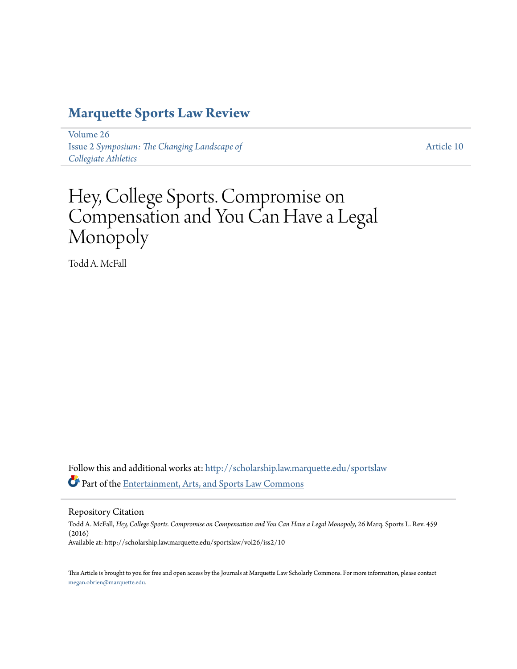## **[Marquette Sports Law Review](http://scholarship.law.marquette.edu/sportslaw?utm_source=scholarship.law.marquette.edu%2Fsportslaw%2Fvol26%2Fiss2%2F10&utm_medium=PDF&utm_campaign=PDFCoverPages)**

[Volume 26](http://scholarship.law.marquette.edu/sportslaw/vol26?utm_source=scholarship.law.marquette.edu%2Fsportslaw%2Fvol26%2Fiss2%2F10&utm_medium=PDF&utm_campaign=PDFCoverPages) Issue 2 *[Symposium: The Changing Landscape of](http://scholarship.law.marquette.edu/sportslaw/vol26/iss2?utm_source=scholarship.law.marquette.edu%2Fsportslaw%2Fvol26%2Fiss2%2F10&utm_medium=PDF&utm_campaign=PDFCoverPages) [Collegiate Athletics](http://scholarship.law.marquette.edu/sportslaw/vol26/iss2?utm_source=scholarship.law.marquette.edu%2Fsportslaw%2Fvol26%2Fiss2%2F10&utm_medium=PDF&utm_campaign=PDFCoverPages)*

[Article 10](http://scholarship.law.marquette.edu/sportslaw/vol26/iss2/10?utm_source=scholarship.law.marquette.edu%2Fsportslaw%2Fvol26%2Fiss2%2F10&utm_medium=PDF&utm_campaign=PDFCoverPages)

# Hey, College Sports. Compromise on Compensation and You Can Have a Legal Monopoly

Todd A. McFall

Follow this and additional works at: [http://scholarship.law.marquette.edu/sportslaw](http://scholarship.law.marquette.edu/sportslaw?utm_source=scholarship.law.marquette.edu%2Fsportslaw%2Fvol26%2Fiss2%2F10&utm_medium=PDF&utm_campaign=PDFCoverPages) Part of the [Entertainment, Arts, and Sports Law Commons](http://network.bepress.com/hgg/discipline/893?utm_source=scholarship.law.marquette.edu%2Fsportslaw%2Fvol26%2Fiss2%2F10&utm_medium=PDF&utm_campaign=PDFCoverPages)

Repository Citation

Todd A. McFall, *Hey, College Sports. Compromise on Compensation and You Can Have a Legal Monopoly*, 26 Marq. Sports L. Rev. 459 (2016) Available at: http://scholarship.law.marquette.edu/sportslaw/vol26/iss2/10

This Article is brought to you for free and open access by the Journals at Marquette Law Scholarly Commons. For more information, please contact [megan.obrien@marquette.edu.](mailto:megan.obrien@marquette.edu)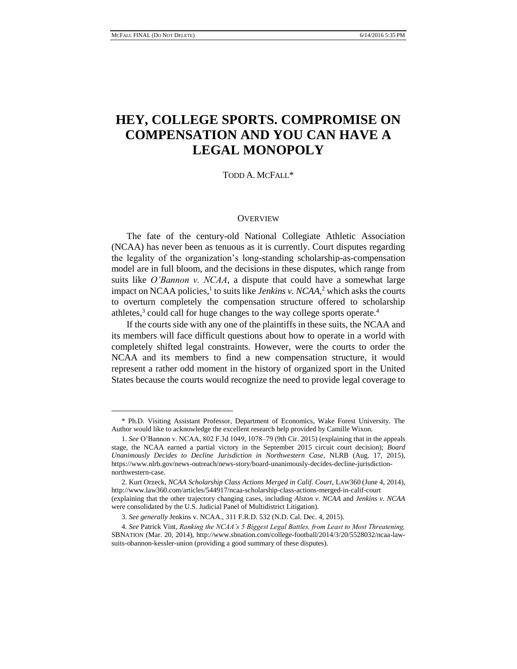### **HEY, COLLEGE SPORTS. COMPROMISE ON COMPENSATION AND YOU CAN HAVE A LEGAL MONOPOLY**

#### TODD A. MCFALL\*

#### **OVERVIEW**

The fate of the century-old National Collegiate Athletic Association (NCAA) has never been as tenuous as it is currently. Court disputes regarding the legality of the organization's long-standing scholarship-as-compensation model are in full bloom, and the decisions in these disputes, which range from suits like *O'Bannon v. NCAA*, a dispute that could have a somewhat large impact on NCAA policies,<sup>1</sup> to suits like *Jenkins v. NCAA*,<sup>2</sup> which asks the courts to overturn completely the compensation structure offered to scholarship athletes,<sup>3</sup> could call for huge changes to the way college sports operate.<sup>4</sup>

If the courts side with any one of the plaintiffs in these suits, the NCAA and its members will face difficult questions about how to operate in a world with completely shifted legal constraints. However, were the courts to order the NCAA and its members to find a new compensation structure, it would represent a rather odd moment in the history of organized sport in the United States because the courts would recognize the need to provide legal coverage to

<sup>\*</sup> Ph.D. Visiting Assistant Professor, Department of Economics, Wake Forest University. The Author would like to acknowledge the excellent research help provided by Camille Wixon.

<sup>1.</sup> *See* O'Bannon v. NCAA, 802 F.3d 1049, 1078–79 (9th Cir. 2015) (explaining that in the appeals stage, the NCAA earned a partial victory in the September 2015 circuit court decision); *Board Unanimously Decides to Decline Jurisdiction in Northwestern Case*, NLRB (Aug. 17, 2015), https://www.nlrb.gov/news-outreach/news-story/board-unanimously-decides-decline-jurisdictionnorthwestern-case.

<sup>2.</sup> Kurt Orzeck, *NCAA Scholarship Class Actions Merged in Calif. Court*, LAW360 (June 4, 2014), http://www.law360.com/articles/544917/ncaa-scholarship-class-actions-merged-in-calif-court (explaining that the other trajectory changing cases, including *Alston v. NCAA* and *Jenkins v. NCAA* were consolidated by the U.S. Judicial Panel of Multidistrict Litigation).

<sup>3.</sup> *See generally* Jenkins v. NCAA., 311 F.R.D. 532 (N.D. Cal. Dec. 4, 2015).

<sup>4.</sup> *See* Patrick Vint, *Ranking the NCAA's 5 Biggest Legal Battles, from Least to Most Threatening,* SBNATION (Mar. 20, 2014), http://www.sbnation.com/college-football/2014/3/20/5528032/ncaa-lawsuits-obannon-kessler-union (providing a good summary of these disputes).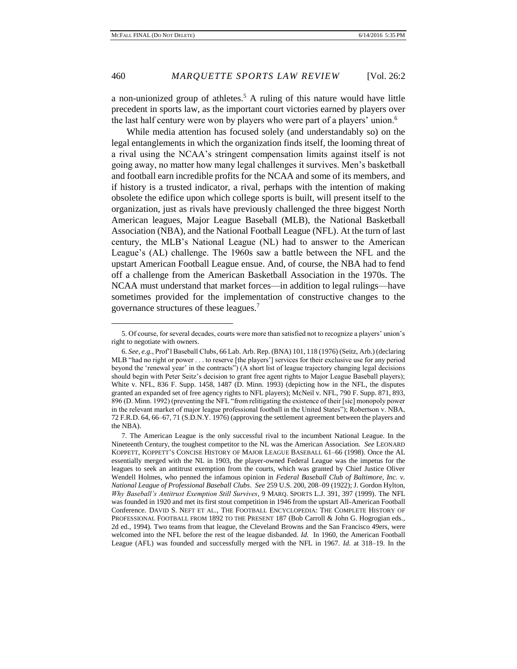a non-unionized group of athletes.<sup>5</sup> A ruling of this nature would have little precedent in sports law, as the important court victories earned by players over the last half century were won by players who were part of a players' union.<sup>6</sup>

While media attention has focused solely (and understandably so) on the legal entanglements in which the organization finds itself, the looming threat of a rival using the NCAA's stringent compensation limits against itself is not going away, no matter how many legal challenges it survives. Men's basketball and football earn incredible profits for the NCAA and some of its members, and if history is a trusted indicator, a rival, perhaps with the intention of making obsolete the edifice upon which college sports is built, will present itself to the organization, just as rivals have previously challenged the three biggest North American leagues, Major League Baseball (MLB), the National Basketball Association (NBA), and the National Football League (NFL). At the turn of last century, the MLB's National League (NL) had to answer to the American League's (AL) challenge. The 1960s saw a battle between the NFL and the upstart American Football League ensue. And, of course, the NBA had to fend off a challenge from the American Basketball Association in the 1970s. The NCAA must understand that market forces—in addition to legal rulings—have sometimes provided for the implementation of constructive changes to the governance structures of these leagues.<sup>7</sup>

<sup>5.</sup> Of course, for several decades, courts were more than satisfied not to recognize a players' union's right to negotiate with owners.

<sup>6.</sup> *See, e.g.*, Prof'l Baseball Clubs*,* 66 Lab. Arb. Rep. (BNA) 101, 118 (1976) (Seitz, Arb.) (declaring MLB "had no right or power . . . to reserve [the players'] services for their exclusive use for any period beyond the 'renewal year' in the contracts") (A short list of league trajectory changing legal decisions should begin with Peter Seitz's decision to grant free agent rights to Major League Baseball players); White v. NFL, 836 F. Supp. 1458, 1487 (D. Minn. 1993) (depicting how in the NFL, the disputes granted an expanded set of free agency rights to NFL players); McNeil v. NFL, 790 F. Supp. 871, 893, 896 (D. Minn. 1992) (preventing the NFL "from relitigating the existence of their [sic] monopoly power in the relevant market of major league professional football in the United States"); Robertson v. NBA, 72 F.R.D. 64, 66–67, 71 (S.D.N.Y. 1976) (approving the settlement agreement between the players and the NBA).

<sup>7.</sup> The American League is the only successful rival to the incumbent National League. In the Nineteenth Century, the toughest competitor to the NL was the American Association. *See* LEONARD KOPPETT, KOPPETT'S CONCISE HISTORY OF MAJOR LEAGUE BASEBALL 61–66 (1998). Once the AL essentially merged with the NL in 1903, the player-owned Federal League was the impetus for the leagues to seek an antitrust exemption from the courts, which was granted by Chief Justice Oliver Wendell Holmes, who penned the infamous opinion in *Federal Baseball Club of Baltimore, Inc. v. National League of Professional Baseball Clubs*. *See* 259 U.S. 200, 208–09 (1922); J. Gordon Hylton, *Why Baseball's Antitrust Exemption Still Survives*, 9 MARQ. SPORTS L.J. 391, 397 (1999). The NFL was founded in 1920 and met its first stout competition in 1946 from the upstart All-American Football Conference. DAVID S. NEFT ET AL., THE FOOTBALL ENCYCLOPEDIA: THE COMPLETE HISTORY OF PROFESSIONAL FOOTBALL FROM 1892 TO THE PRESENT 187 (Bob Carroll & John G. Hogrogian eds., 2d ed., 1994)*.* Two teams from that league, the Cleveland Browns and the San Francisco 49ers, were welcomed into the NFL before the rest of the league disbanded. *Id.* In 1960, the American Football League (AFL) was founded and successfully merged with the NFL in 1967. *Id.* at 318–19. In the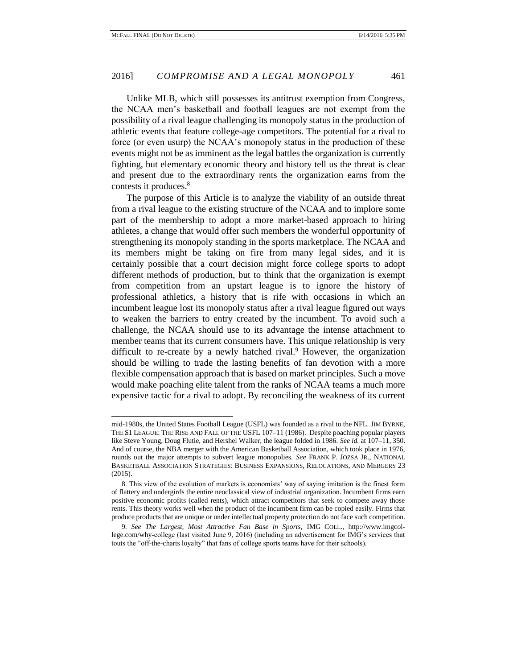Unlike MLB, which still possesses its antitrust exemption from Congress, the NCAA men's basketball and football leagues are not exempt from the possibility of a rival league challenging its monopoly status in the production of athletic events that feature college-age competitors. The potential for a rival to force (or even usurp) the NCAA's monopoly status in the production of these events might not be as imminent as the legal battles the organization is currently fighting, but elementary economic theory and history tell us the threat is clear and present due to the extraordinary rents the organization earns from the contests it produces.<sup>8</sup>

The purpose of this Article is to analyze the viability of an outside threat from a rival league to the existing structure of the NCAA and to implore some part of the membership to adopt a more market-based approach to hiring athletes, a change that would offer such members the wonderful opportunity of strengthening its monopoly standing in the sports marketplace. The NCAA and its members might be taking on fire from many legal sides, and it is certainly possible that a court decision might force college sports to adopt different methods of production, but to think that the organization is exempt from competition from an upstart league is to ignore the history of professional athletics, a history that is rife with occasions in which an incumbent league lost its monopoly status after a rival league figured out ways to weaken the barriers to entry created by the incumbent. To avoid such a challenge, the NCAA should use to its advantage the intense attachment to member teams that its current consumers have. This unique relationship is very difficult to re-create by a newly hatched rival. $9$  However, the organization should be willing to trade the lasting benefits of fan devotion with a more flexible compensation approach that is based on market principles. Such a move would make poaching elite talent from the ranks of NCAA teams a much more expensive tactic for a rival to adopt. By reconciling the weakness of its current

mid-1980s, the United States Football League (USFL) was founded as a rival to the NFL. JIM BYRNE, THE \$1 LEAGUE: THE RISE AND FALL OF THE USFL 107–11 (1986). Despite poaching popular players like Steve Young, Doug Flutie, and Hershel Walker, the league folded in 1986. *See id.* at 107–11, 350. And of course, the NBA merger with the American Basketball Association, which took place in 1976, rounds out the major attempts to subvert league monopolies. *See* FRANK P. JOZSA JR., NATIONAL BASKETBALL ASSOCIATION STRATEGIES: BUSINESS EXPANSIONS, RELOCATIONS, AND MERGERS 23 (2015).

<sup>8.</sup> This view of the evolution of markets is economists' way of saying imitation is the finest form of flattery and undergirds the entire neoclassical view of industrial organization. Incumbent firms earn positive economic profits (called rents), which attract competitors that seek to compete away those rents. This theory works well when the product of the incumbent firm can be copied easily. Firms that produce products that are unique or under intellectual property protection do not face such competition.

<sup>9.</sup> *See The Largest, Most Attractive Fan Base in Sports,* IMG COLL.*,* http://www.imgcollege.com/why-college (last visited June 9, 2016) (including an advertisement for IMG's services that touts the "off-the-charts loyalty" that fans of college sports teams have for their schools).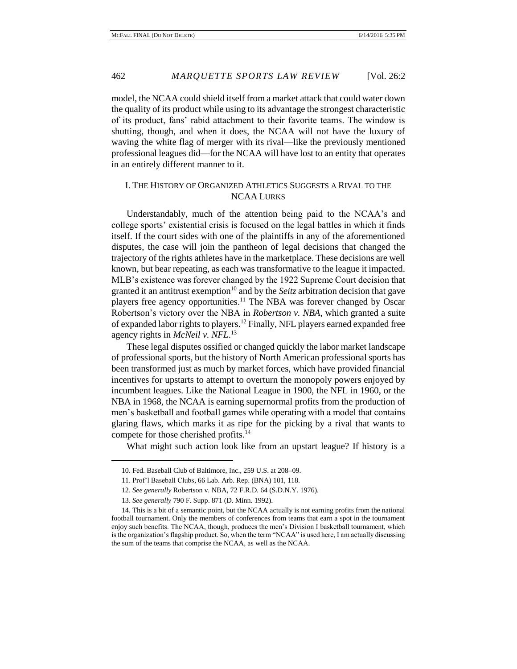model, the NCAA could shield itself from a market attack that could water down the quality of its product while using to its advantage the strongest characteristic of its product, fans' rabid attachment to their favorite teams. The window is shutting, though, and when it does, the NCAA will not have the luxury of waving the white flag of merger with its rival—like the previously mentioned professional leagues did—for the NCAA will have lost to an entity that operates in an entirely different manner to it.

#### I. THE HISTORY OF ORGANIZED ATHLETICS SUGGESTS A RIVAL TO THE NCAA LURKS

Understandably, much of the attention being paid to the NCAA's and college sports' existential crisis is focused on the legal battles in which it finds itself. If the court sides with one of the plaintiffs in any of the aforementioned disputes, the case will join the pantheon of legal decisions that changed the trajectory of the rights athletes have in the marketplace. These decisions are well known, but bear repeating, as each was transformative to the league it impacted. MLB's existence was forever changed by the 1922 Supreme Court decision that granted it an antitrust exemption<sup>10</sup> and by the *Seitz* arbitration decision that gave players free agency opportunities.<sup>11</sup> The NBA was forever changed by Oscar Robertson's victory over the NBA in *Robertson v. NBA*, which granted a suite of expanded labor rights to players.<sup>12</sup> Finally, NFL players earned expanded free agency rights in *McNeil v. NFL*. 13 

These legal disputes ossified or changed quickly the labor market landscape of professional sports, but the history of North American professional sports has been transformed just as much by market forces, which have provided financial incentives for upstarts to attempt to overturn the monopoly powers enjoyed by incumbent leagues. Like the National League in 1900, the NFL in 1960, or the NBA in 1968, the NCAA is earning supernormal profits from the production of men's basketball and football games while operating with a model that contains glaring flaws, which marks it as ripe for the picking by a rival that wants to compete for those cherished profits.<sup>14</sup>

What might such action look like from an upstart league? If history is a

<sup>10.</sup> Fed. Baseball Club of Baltimore, Inc., 259 U.S. at 208–09.

<sup>11.</sup> Prof'l Baseball Clubs*,* 66 Lab. Arb. Rep. (BNA) 101, 118.

<sup>12.</sup> *See generally* Robertson v. NBA, 72 F.R.D. 64 (S.D.N.Y. 1976).

<sup>13.</sup> *See generally* 790 F. Supp. 871 (D. Minn. 1992).

<sup>14.</sup> This is a bit of a semantic point, but the NCAA actually is not earning profits from the national football tournament. Only the members of conferences from teams that earn a spot in the tournament enjoy such benefits. The NCAA, though, produces the men's Division I basketball tournament, which is the organization's flagship product. So, when the term "NCAA" is used here, I am actually discussing the sum of the teams that comprise the NCAA, as well as the NCAA.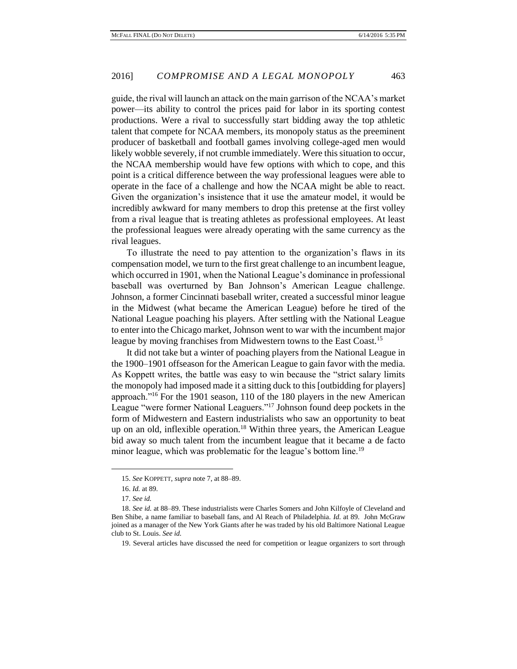guide, the rival will launch an attack on the main garrison of the NCAA's market power—its ability to control the prices paid for labor in its sporting contest productions. Were a rival to successfully start bidding away the top athletic talent that compete for NCAA members, its monopoly status as the preeminent producer of basketball and football games involving college-aged men would likely wobble severely, if not crumble immediately. Were this situation to occur, the NCAA membership would have few options with which to cope, and this point is a critical difference between the way professional leagues were able to operate in the face of a challenge and how the NCAA might be able to react. Given the organization's insistence that it use the amateur model, it would be incredibly awkward for many members to drop this pretense at the first volley from a rival league that is treating athletes as professional employees. At least the professional leagues were already operating with the same currency as the rival leagues.

To illustrate the need to pay attention to the organization's flaws in its compensation model, we turn to the first great challenge to an incumbent league, which occurred in 1901, when the National League's dominance in professional baseball was overturned by Ban Johnson's American League challenge. Johnson, a former Cincinnati baseball writer, created a successful minor league in the Midwest (what became the American League) before he tired of the National League poaching his players. After settling with the National League to enter into the Chicago market, Johnson went to war with the incumbent major league by moving franchises from Midwestern towns to the East Coast.<sup>15</sup>

It did not take but a winter of poaching players from the National League in the 1900–1901 offseason for the American League to gain favor with the media. As Koppett writes, the battle was easy to win because the "strict salary limits the monopoly had imposed made it a sitting duck to this [outbidding for players] approach."<sup>16</sup> For the 1901 season, 110 of the 180 players in the new American League "were former National Leaguers."<sup>17</sup> Johnson found deep pockets in the form of Midwestern and Eastern industrialists who saw an opportunity to beat up on an old, inflexible operation.<sup>18</sup> Within three years, the American League bid away so much talent from the incumbent league that it became a de facto minor league, which was problematic for the league's bottom line.<sup>19</sup>

<sup>15.</sup> *See* KOPPETT, *supra* note 7, at 88–89.

<sup>16.</sup> *Id.* at 89.

<sup>17.</sup> *See id.*

<sup>18.</sup> *See id.* at 88–89. These industrialists were Charles Somers and John Kilfoyle of Cleveland and Ben Shibe, a name familiar to baseball fans, and Al Reach of Philadelphia. *Id.* at 89. John McGraw joined as a manager of the New York Giants after he was traded by his old Baltimore National League club to St. Louis. *See id.*

<sup>19.</sup> Several articles have discussed the need for competition or league organizers to sort through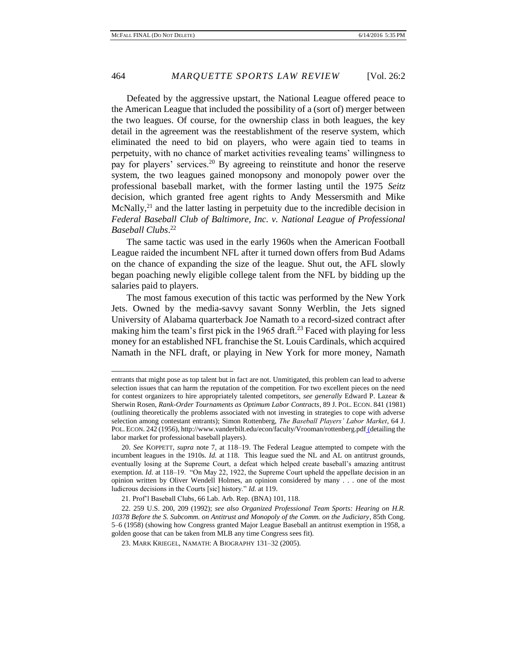Defeated by the aggressive upstart, the National League offered peace to the American League that included the possibility of a (sort of) merger between the two leagues. Of course, for the ownership class in both leagues, the key detail in the agreement was the reestablishment of the reserve system, which eliminated the need to bid on players, who were again tied to teams in perpetuity, with no chance of market activities revealing teams' willingness to pay for players' services.<sup>20</sup> By agreeing to reinstitute and honor the reserve system, the two leagues gained monopsony and monopoly power over the professional baseball market, with the former lasting until the 1975 *Seitz* decision, which granted free agent rights to Andy Messersmith and Mike McNally, $^{21}$  and the latter lasting in perpetuity due to the incredible decision in *Federal Baseball Club of Baltimore, Inc. v. National League of Professional Baseball Clubs*. 22

The same tactic was used in the early 1960s when the American Football League raided the incumbent NFL after it turned down offers from Bud Adams on the chance of expanding the size of the league. Shut out, the AFL slowly began poaching newly eligible college talent from the NFL by bidding up the salaries paid to players.

The most famous execution of this tactic was performed by the New York Jets. Owned by the media-savvy savant Sonny Werblin, the Jets signed University of Alabama quarterback Joe Namath to a record-sized contract after making him the team's first pick in the 1965 draft.<sup>23</sup> Faced with playing for less money for an established NFL franchise the St. Louis Cardinals, which acquired Namath in the NFL draft, or playing in New York for more money, Namath

entrants that might pose as top talent but in fact are not. Unmitigated, this problem can lead to adverse selection issues that can harm the reputation of the competition. For two excellent pieces on the need for contest organizers to hire appropriately talented competitors, *see generally* Edward P. Lazear & Sherwin Rosen, *Rank-Order Tournaments as Optimum Labor Contracts*, 89 J. POL. ECON. 841 (1981) (outlining theoretically the problems associated with not investing in strategies to cope with adverse selection among contestant entrants); Simon Rottenberg, *The Baseball Players' Labor Market*, 64 J. POL. ECON. 242 (1956), http://www.vanderbilt.edu/econ/faculty/Vrooman/rottenberg.pdf (detailing the labor market for professional baseball players).

<sup>20.</sup> *See* KOPPETT, *supra* note 7, at 118–19. The Federal League attempted to compete with the incumbent leagues in the 1910s. *Id.* at 118. This league sued the NL and AL on antitrust grounds, eventually losing at the Supreme Court, a defeat which helped create baseball's amazing antitrust exemption. *Id.* at 118–19. "On May 22, 1922, the Supreme Court upheld the appellate decision in an opinion written by Oliver Wendell Holmes, an opinion considered by many . . . one of the most ludicrous decisions in the Courts [sic] history." *Id.* at 119.

<sup>21.</sup> Prof'l Baseball Clubs*,* 66 Lab. Arb. Rep. (BNA) 101, 118.

<sup>22. 259</sup> U.S. 200, 209 (1992); *see also Organized Professional Team Sports: Hearing on H.R. 10378 Before the S. Subcomm. on Antitrust and Monopoly of the Comm. on the Judiciary*, 85th Cong. 5–6 (1958) (showing how Congress granted Major League Baseball an antitrust exemption in 1958, a golden goose that can be taken from MLB any time Congress sees fit).

<sup>23.</sup> MARK KRIEGEL, NAMATH: A BIOGRAPHY 131–32 (2005).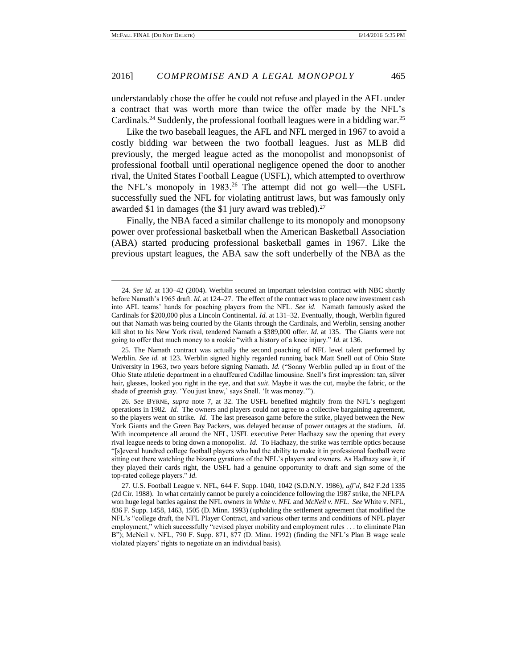understandably chose the offer he could not refuse and played in the AFL under a contract that was worth more than twice the offer made by the NFL's Cardinals.<sup>24</sup> Suddenly, the professional football leagues were in a bidding war.<sup>25</sup>

Like the two baseball leagues, the AFL and NFL merged in 1967 to avoid a costly bidding war between the two football leagues. Just as MLB did previously, the merged league acted as the monopolist and monopsonist of professional football until operational negligence opened the door to another rival, the United States Football League (USFL), which attempted to overthrow the NFL's monopoly in 1983.<sup>26</sup> The attempt did not go well—the USFL successfully sued the NFL for violating antitrust laws, but was famously only awarded \$1 in damages (the \$1 jury award was trebled).<sup>27</sup>

Finally, the NBA faced a similar challenge to its monopoly and monopsony power over professional basketball when the American Basketball Association (ABA) started producing professional basketball games in 1967. Like the previous upstart leagues, the ABA saw the soft underbelly of the NBA as the

<sup>24.</sup> *See id.* at 130–42 (2004). Werblin secured an important television contract with NBC shortly before Namath's 1965 draft. *Id.* at 124–27. The effect of the contract was to place new investment cash into AFL teams' hands for poaching players from the NFL. *See id.* Namath famously asked the Cardinals for \$200,000 plus a Lincoln Continental. *Id.* at 131–32. Eventually, though, Werblin figured out that Namath was being courted by the Giants through the Cardinals, and Werblin, sensing another kill shot to his New York rival, tendered Namath a \$389,000 offer. *Id.* at 135. The Giants were not going to offer that much money to a rookie "with a history of a knee injury." *Id.* at 136.

<sup>25.</sup> The Namath contract was actually the second poaching of NFL level talent performed by Werblin. *See id.* at 123. Werblin signed highly regarded running back Matt Snell out of Ohio State University in 1963, two years before signing Namath. *Id.* ("Sonny Werblin pulled up in front of the Ohio State athletic department in a chauffeured Cadillac limousine. Snell's first impression: tan, silver hair, glasses, looked you right in the eye, and that *suit*. Maybe it was the cut, maybe the fabric, or the shade of greenish gray. 'You just knew,' says Snell. 'It was money.'").

<sup>26.</sup> *See* BYRNE, *supra* note 7, at 32. The USFL benefited mightily from the NFL's negligent operations in 1982. *Id.* The owners and players could not agree to a collective bargaining agreement, so the players went on strike. *Id.* The last preseason game before the strike, played between the New York Giants and the Green Bay Packers, was delayed because of power outages at the stadium. *Id.*  With incompetence all around the NFL, USFL executive Peter Hadhazy saw the opening that every rival league needs to bring down a monopolist. *Id.* To Hadhazy, the strike was terrible optics because "[s]everal hundred college football players who had the ability to make it in professional football were sitting out there watching the bizarre gyrations of the NFL's players and owners. As Hadhazy saw it, if they played their cards right, the USFL had a genuine opportunity to draft and sign some of the top-rated college players." *Id.*

<sup>27.</sup> U.S. Football League v. NFL, 644 F. Supp. 1040, 1042 (S.D.N.Y. 1986), *aff'd*, 842 F.2d 1335 (2d Cir. 1988). In what certainly cannot be purely a coincidence following the 1987 strike, the NFLPA won huge legal battles against the NFL owners in *White v. NFL* and *McNeil v. NFL*. *See* White v. NFL, 836 F. Supp. 1458, 1463, 1505 (D. Minn. 1993) (upholding the settlement agreement that modified the NFL's "college draft, the NFL Player Contract, and various other terms and conditions of NFL player employment," which successfully "revised player mobility and employment rules . . . to eliminate Plan B"); McNeil v. NFL, 790 F. Supp. 871, 877 (D. Minn. 1992) (finding the NFL's Plan B wage scale violated players' rights to negotiate on an individual basis).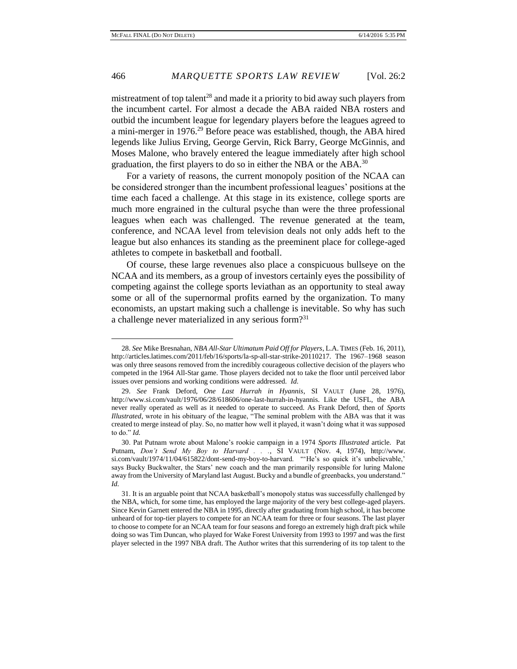mistreatment of top talent<sup>28</sup> and made it a priority to bid away such players from the incumbent cartel. For almost a decade the ABA raided NBA rosters and outbid the incumbent league for legendary players before the leagues agreed to a mini-merger in 1976.<sup>29</sup> Before peace was established, though, the ABA hired legends like Julius Erving, George Gervin, Rick Barry, George McGinnis, and Moses Malone, who bravely entered the league immediately after high school graduation, the first players to do so in either the NBA or the ABA.<sup>30</sup>

For a variety of reasons, the current monopoly position of the NCAA can be considered stronger than the incumbent professional leagues' positions at the time each faced a challenge. At this stage in its existence, college sports are much more engrained in the cultural psyche than were the three professional leagues when each was challenged. The revenue generated at the team, conference, and NCAA level from television deals not only adds heft to the league but also enhances its standing as the preeminent place for college-aged athletes to compete in basketball and football.

Of course, these large revenues also place a conspicuous bullseye on the NCAA and its members, as a group of investors certainly eyes the possibility of competing against the college sports leviathan as an opportunity to steal away some or all of the supernormal profits earned by the organization. To many economists, an upstart making such a challenge is inevitable. So why has such a challenge never materialized in any serious form?<sup>31</sup>

<sup>28.</sup> *See* Mike Bresnahan, *NBA All-Star Ultimatum Paid Off for Players*, L.A. TIMES (Feb. 16, 2011), http://articles.latimes.com/2011/feb/16/sports/la-sp-all-star-strike-20110217. The 1967–1968 season was only three seasons removed from the incredibly courageous collective decision of the players who competed in the 1964 All-Star game. Those players decided not to take the floor until perceived labor issues over pensions and working conditions were addressed. *Id.*

<sup>29.</sup> *See* Frank Deford, *One Last Hurrah in Hyannis*, SI VAULT (June 28, 1976), http://www.si.com/vault/1976/06/28/618606/one-last-hurrah-in-hyannis. Like the USFL, the ABA never really operated as well as it needed to operate to succeed. As Frank Deford, then of *Sports Illustrated*, wrote in his obituary of the league, "The seminal problem with the ABA was that it was created to merge instead of play. So, no matter how well it played, it wasn't doing what it was supposed to do." *Id.*

<sup>30.</sup> Pat Putnam wrote about Malone's rookie campaign in a 1974 *Sports Illustrated* article. Pat Putnam, *Don't Send My Boy to Harvard . . .*, SI VAULT (Nov. 4, 1974), http://www. si.com/vault/1974/11/04/615822/dont-send-my-boy-to-harvard. "'He's so quick it's unbelievable,' says Bucky Buckwalter, the Stars' new coach and the man primarily responsible for luring Malone away from the University of Maryland last August. Bucky and a bundle of greenbacks, you understand." *Id.*

<sup>31.</sup> It is an arguable point that NCAA basketball's monopoly status was successfully challenged by the NBA, which, for some time, has employed the large majority of the very best college-aged players. Since Kevin Garnett entered the NBA in 1995, directly after graduating from high school, it has become unheard of for top-tier players to compete for an NCAA team for three or four seasons. The last player to choose to compete for an NCAA team for four seasons and forego an extremely high draft pick while doing so was Tim Duncan, who played for Wake Forest University from 1993 to 1997 and was the first player selected in the 1997 NBA draft. The Author writes that this surrendering of its top talent to the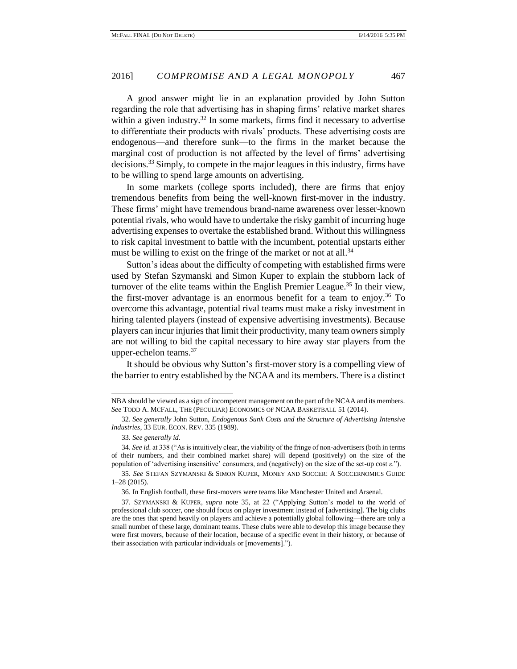A good answer might lie in an explanation provided by John Sutton regarding the role that advertising has in shaping firms' relative market shares within a given industry.<sup>32</sup> In some markets, firms find it necessary to advertise to differentiate their products with rivals' products. These advertising costs are endogenous—and therefore sunk—to the firms in the market because the marginal cost of production is not affected by the level of firms' advertising decisions.<sup>33</sup> Simply, to compete in the major leagues in this industry, firms have to be willing to spend large amounts on advertising.

In some markets (college sports included), there are firms that enjoy tremendous benefits from being the well-known first-mover in the industry. These firms' might have tremendous brand-name awareness over lesser-known potential rivals, who would have to undertake the risky gambit of incurring huge advertising expenses to overtake the established brand. Without this willingness to risk capital investment to battle with the incumbent, potential upstarts either must be willing to exist on the fringe of the market or not at all.<sup>34</sup>

Sutton's ideas about the difficulty of competing with established firms were used by Stefan Szymanski and Simon Kuper to explain the stubborn lack of turnover of the elite teams within the English Premier League.<sup>35</sup> In their view, the first-mover advantage is an enormous benefit for a team to enjoy.<sup>36</sup> To overcome this advantage, potential rival teams must make a risky investment in hiring talented players (instead of expensive advertising investments). Because players can incur injuries that limit their productivity, many team owners simply are not willing to bid the capital necessary to hire away star players from the upper-echelon teams. $37$ 

It should be obvious why Sutton's first-mover story is a compelling view of the barrier to entry established by the NCAA and its members. There is a distinct

NBA should be viewed as a sign of incompetent management on the part of the NCAA and its members. *See* TODD A. MCFALL, THE (PECULIAR) ECONOMICS OF NCAA BASKETBALL 51 (2014).

<sup>32.</sup> *See generally* John Sutton, *Endogenous Sunk Costs and the Structure of Advertising Intensive Industries*, 33 EUR. ECON. REV. 335 (1989).

<sup>33.</sup> *See generally id.*

<sup>34.</sup> *See id.* at 338 ("As is intuitively clear, the viability of the fringe of non-advertisers (both in terms of their numbers, and their combined market share) will depend (positively) on the size of the population of 'advertising insensitive' consumers, and (negatively) on the size of the set-up cost *ε*.").

<sup>35.</sup> *See* STEFAN SZYMANSKI & SIMON KUPER, MONEY AND SOCCER: A SOCCERNOMICS GUIDE 1–28 (2015)*.* 

<sup>36.</sup> In English football, these first-movers were teams like Manchester United and Arsenal.

<sup>37.</sup> SZYMANSKI & KUPER, *supra* note 35, at 22 ("Applying Sutton's model to the world of professional club soccer, one should focus on player investment instead of [advertising]. The big clubs are the ones that spend heavily on players and achieve a potentially global following—there are only a small number of these large, dominant teams. These clubs were able to develop this image because they were first movers, because of their location, because of a specific event in their history, or because of their association with particular individuals or [movements].").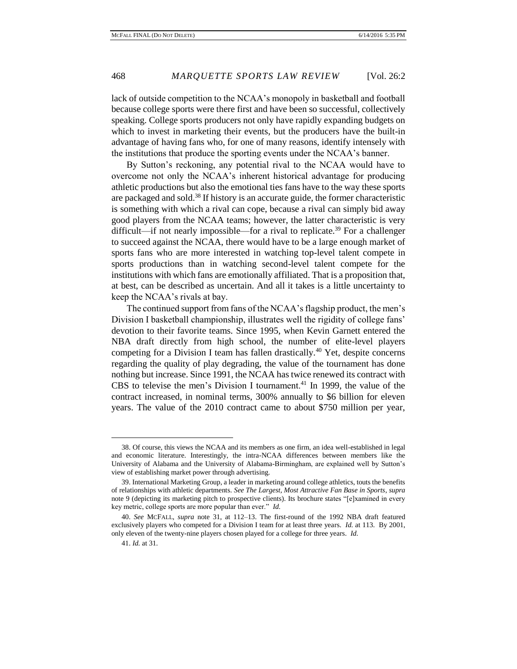lack of outside competition to the NCAA's monopoly in basketball and football because college sports were there first and have been so successful, collectively speaking. College sports producers not only have rapidly expanding budgets on which to invest in marketing their events, but the producers have the built-in advantage of having fans who, for one of many reasons, identify intensely with the institutions that produce the sporting events under the NCAA's banner.

By Sutton's reckoning, any potential rival to the NCAA would have to overcome not only the NCAA's inherent historical advantage for producing athletic productions but also the emotional ties fans have to the way these sports are packaged and sold.<sup>38</sup> If history is an accurate guide, the former characteristic is something with which a rival can cope, because a rival can simply bid away good players from the NCAA teams; however, the latter characteristic is very difficult—if not nearly impossible—for a rival to replicate.<sup>39</sup> For a challenger to succeed against the NCAA, there would have to be a large enough market of sports fans who are more interested in watching top-level talent compete in sports productions than in watching second-level talent compete for the institutions with which fans are emotionally affiliated. That is a proposition that, at best, can be described as uncertain. And all it takes is a little uncertainty to keep the NCAA's rivals at bay.

The continued support from fans of the NCAA's flagship product, the men's Division I basketball championship, illustrates well the rigidity of college fans' devotion to their favorite teams. Since 1995, when Kevin Garnett entered the NBA draft directly from high school, the number of elite-level players competing for a Division I team has fallen drastically.<sup>40</sup> Yet, despite concerns regarding the quality of play degrading, the value of the tournament has done nothing but increase. Since 1991, the NCAA has twice renewed its contract with CBS to televise the men's Division I tournament.<sup>41</sup> In 1999, the value of the contract increased, in nominal terms, 300% annually to \$6 billion for eleven years. The value of the 2010 contract came to about \$750 million per year,

<sup>38.</sup> Of course, this views the NCAA and its members as one firm, an idea well-established in legal and economic literature. Interestingly, the intra-NCAA differences between members like the University of Alabama and the University of Alabama-Birmingham, are explained well by Sutton's view of establishing market power through advertising.

<sup>39.</sup> International Marketing Group, a leader in marketing around college athletics, touts the benefits of relationships with athletic departments. *See The Largest, Most Attractive Fan Base in Sports*, *supra*  note 9 (depicting its marketing pitch to prospective clients). Its brochure states "[e]xamined in every key metric, college sports are more popular than ever." *Id.*

<sup>40.</sup> *See* MCFALL, *supra* note 31, at 112–13. The first-round of the 1992 NBA draft featured exclusively players who competed for a Division I team for at least three years. *Id.* at 113. By 2001, only eleven of the twenty-nine players chosen played for a college for three years. *Id.* 

<sup>41.</sup> *Id.* at 31.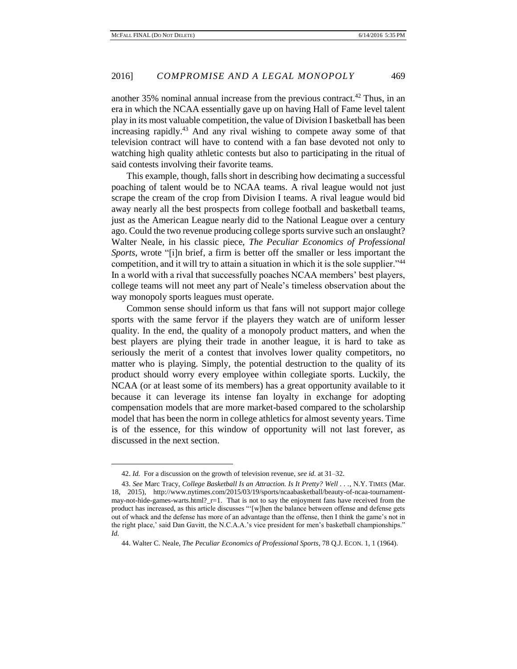another  $35\%$  nominal annual increase from the previous contract.<sup>42</sup> Thus, in an era in which the NCAA essentially gave up on having Hall of Fame level talent play in its most valuable competition, the value of Division I basketball has been increasing rapidly.<sup>43</sup> And any rival wishing to compete away some of that television contract will have to contend with a fan base devoted not only to watching high quality athletic contests but also to participating in the ritual of said contests involving their favorite teams.

This example, though, falls short in describing how decimating a successful poaching of talent would be to NCAA teams. A rival league would not just scrape the cream of the crop from Division I teams. A rival league would bid away nearly all the best prospects from college football and basketball teams, just as the American League nearly did to the National League over a century ago. Could the two revenue producing college sports survive such an onslaught? Walter Neale, in his classic piece, *The Peculiar Economics of Professional Sports*, wrote "[i]n brief, a firm is better off the smaller or less important the competition, and it will try to attain a situation in which it is the sole supplier."<sup>44</sup> In a world with a rival that successfully poaches NCAA members' best players, college teams will not meet any part of Neale's timeless observation about the way monopoly sports leagues must operate.

Common sense should inform us that fans will not support major college sports with the same fervor if the players they watch are of uniform lesser quality. In the end, the quality of a monopoly product matters, and when the best players are plying their trade in another league, it is hard to take as seriously the merit of a contest that involves lower quality competitors, no matter who is playing. Simply, the potential destruction to the quality of its product should worry every employee within collegiate sports. Luckily, the NCAA (or at least some of its members) has a great opportunity available to it because it can leverage its intense fan loyalty in exchange for adopting compensation models that are more market-based compared to the scholarship model that has been the norm in college athletics for almost seventy years. Time is of the essence, for this window of opportunity will not last forever, as discussed in the next section.

<sup>42.</sup> *Id.* For a discussion on the growth of television revenue, *see id.* at 31–32.

<sup>43.</sup> *See* Marc Tracy, *College Basketball Is an Attraction. Is It Pretty? Well . . .*, N.Y. TIMES (Mar. 18, 2015), http://www.nytimes.com/2015/03/19/sports/ncaabasketball/beauty-of-ncaa-tournamentmay-not-hide-games-warts.html?\_r=1. That is not to say the enjoyment fans have received from the product has increased, as this article discusses "'[w]hen the balance between offense and defense gets out of whack and the defense has more of an advantage than the offense, then I think the game's not in the right place,' said Dan Gavitt, the N.C.A.A.'s vice president for men's basketball championships." *Id.*

<sup>44.</sup> Walter C. Neale, *The Peculiar Economics of Professional Sports*, 78 Q.J. ECON. 1, 1 (1964).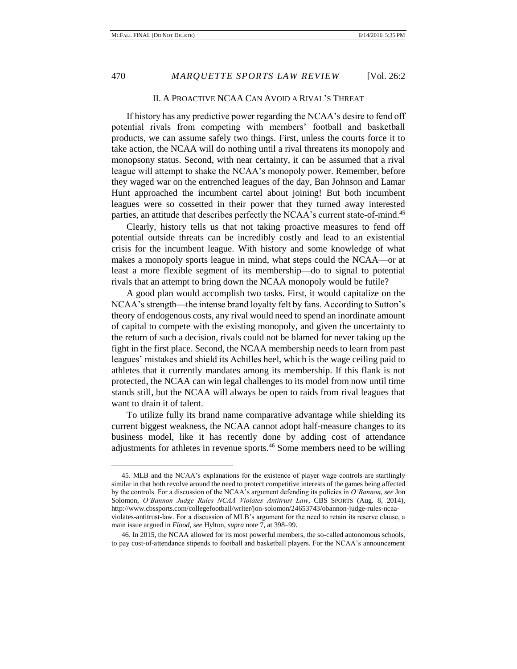#### II. A PROACTIVE NCAA CAN AVOID A RIVAL'S THREAT

If history has any predictive power regarding the NCAA's desire to fend off potential rivals from competing with members' football and basketball products, we can assume safely two things. First, unless the courts force it to take action, the NCAA will do nothing until a rival threatens its monopoly and monopsony status. Second, with near certainty, it can be assumed that a rival league will attempt to shake the NCAA's monopoly power. Remember, before they waged war on the entrenched leagues of the day, Ban Johnson and Lamar Hunt approached the incumbent cartel about joining! But both incumbent leagues were so cossetted in their power that they turned away interested parties, an attitude that describes perfectly the NCAA's current state-of-mind.<sup>45</sup>

Clearly, history tells us that not taking proactive measures to fend off potential outside threats can be incredibly costly and lead to an existential crisis for the incumbent league. With history and some knowledge of what makes a monopoly sports league in mind, what steps could the NCAA—or at least a more flexible segment of its membership—do to signal to potential rivals that an attempt to bring down the NCAA monopoly would be futile?

A good plan would accomplish two tasks. First, it would capitalize on the NCAA's strength—the intense brand loyalty felt by fans. According to Sutton's theory of endogenous costs, any rival would need to spend an inordinate amount of capital to compete with the existing monopoly, and given the uncertainty to the return of such a decision, rivals could not be blamed for never taking up the fight in the first place. Second, the NCAA membership needs to learn from past leagues' mistakes and shield its Achilles heel, which is the wage ceiling paid to athletes that it currently mandates among its membership. If this flank is not protected, the NCAA can win legal challenges to its model from now until time stands still, but the NCAA will always be open to raids from rival leagues that want to drain it of talent.

To utilize fully its brand name comparative advantage while shielding its current biggest weakness, the NCAA cannot adopt half-measure changes to its business model, like it has recently done by adding cost of attendance adjustments for athletes in revenue sports.<sup>46</sup> Some members need to be willing

<sup>45.</sup> MLB and the NCAA's explanations for the existence of player wage controls are startlingly similar in that both revolve around the need to protect competitive interests of the games being affected by the controls. For a discussion of the NCAA's argument defending its policies in *O'Bannon*, *see* Jon Solomon, *O'Bannon Judge Rules NCAA Violates Antitrust Law*, CBS SPORTS (Aug. 8, 2014), http://www.cbssports.com/collegefootball/writer/jon-solomon/24653743/obannon-judge-rules-ncaaviolates-antitrust-law. For a discussion of MLB's argument for the need to retain its reserve clause, a main issue argued in *Flood*, *see* Hylton, *supra* note 7, at 398–99.

<sup>46.</sup> In 2015, the NCAA allowed for its most powerful members, the so-called autonomous schools, to pay cost-of-attendance stipends to football and basketball players. For the NCAA's announcement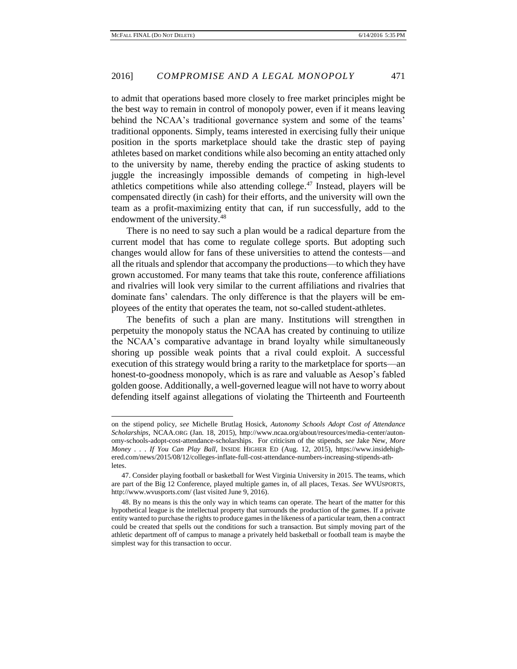to admit that operations based more closely to free market principles might be the best way to remain in control of monopoly power, even if it means leaving behind the NCAA's traditional governance system and some of the teams' traditional opponents. Simply, teams interested in exercising fully their unique position in the sports marketplace should take the drastic step of paying athletes based on market conditions while also becoming an entity attached only to the university by name, thereby ending the practice of asking students to juggle the increasingly impossible demands of competing in high-level athletics competitions while also attending college.<sup>47</sup> Instead, players will be compensated directly (in cash) for their efforts, and the university will own the team as a profit-maximizing entity that can, if run successfully, add to the endowment of the university.<sup>48</sup>

There is no need to say such a plan would be a radical departure from the current model that has come to regulate college sports. But adopting such changes would allow for fans of these universities to attend the contests—and all the rituals and splendor that accompany the productions—to which they have grown accustomed. For many teams that take this route, conference affiliations and rivalries will look very similar to the current affiliations and rivalries that dominate fans' calendars. The only difference is that the players will be employees of the entity that operates the team, not so-called student-athletes.

The benefits of such a plan are many. Institutions will strengthen in perpetuity the monopoly status the NCAA has created by continuing to utilize the NCAA's comparative advantage in brand loyalty while simultaneously shoring up possible weak points that a rival could exploit. A successful execution of this strategy would bring a rarity to the marketplace for sports—an honest-to-goodness monopoly, which is as rare and valuable as Aesop's fabled golden goose. Additionally, a well-governed league will not have to worry about defending itself against allegations of violating the Thirteenth and Fourteenth

on the stipend policy, *see* Michelle Brutlag Hosick, *Autonomy Schools Adopt Cost of Attendance Scholarships,* NCAA.ORG (Jan. 18, 2015), http://www.ncaa.org/about/resources/media-center/autonomy-schools-adopt-cost-attendance-scholarships. For criticism of the stipends, *see* Jake New, *More Money . . . If You Can Play Ball*, INSIDE HIGHER ED (Aug. 12, 2015), https://www.insidehighered.com/news/2015/08/12/colleges-inflate-full-cost-attendance-numbers-increasing-stipends-athletes.

<sup>47.</sup> Consider playing football or basketball for West Virginia University in 2015. The teams, which are part of the Big 12 Conference, played multiple games in, of all places, Texas. *See* WVUSPORTS, http://www.wvusports.com/ (last visited June 9, 2016).

<sup>48.</sup> By no means is this the only way in which teams can operate. The heart of the matter for this hypothetical league is the intellectual property that surrounds the production of the games. If a private entity wanted to purchase the rights to produce games in the likeness of a particular team, then a contract could be created that spells out the conditions for such a transaction. But simply moving part of the athletic department off of campus to manage a privately held basketball or football team is maybe the simplest way for this transaction to occur.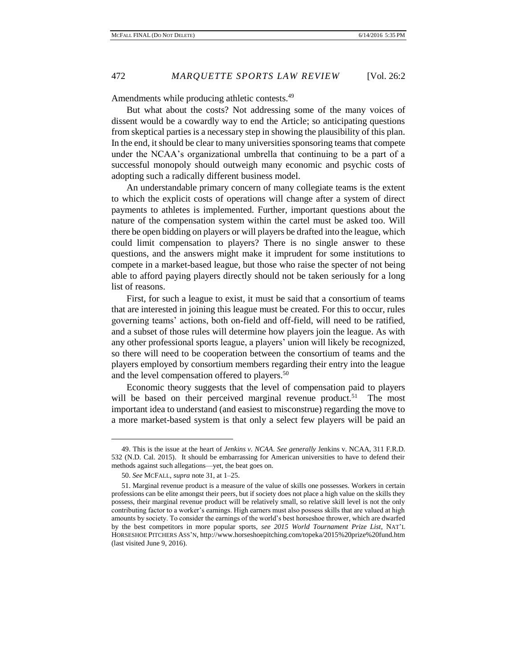Amendments while producing athletic contests.<sup>49</sup>

But what about the costs? Not addressing some of the many voices of dissent would be a cowardly way to end the Article; so anticipating questions from skeptical parties is a necessary step in showing the plausibility of this plan. In the end, it should be clear to many universities sponsoring teams that compete under the NCAA's organizational umbrella that continuing to be a part of a successful monopoly should outweigh many economic and psychic costs of adopting such a radically different business model.

An understandable primary concern of many collegiate teams is the extent to which the explicit costs of operations will change after a system of direct payments to athletes is implemented. Further, important questions about the nature of the compensation system within the cartel must be asked too. Will there be open bidding on players or will players be drafted into the league, which could limit compensation to players? There is no single answer to these questions, and the answers might make it imprudent for some institutions to compete in a market-based league, but those who raise the specter of not being able to afford paying players directly should not be taken seriously for a long list of reasons.

First, for such a league to exist, it must be said that a consortium of teams that are interested in joining this league must be created. For this to occur, rules governing teams' actions, both on-field and off-field, will need to be ratified, and a subset of those rules will determine how players join the league. As with any other professional sports league, a players' union will likely be recognized, so there will need to be cooperation between the consortium of teams and the players employed by consortium members regarding their entry into the league and the level compensation offered to players.<sup>50</sup>

Economic theory suggests that the level of compensation paid to players will be based on their perceived marginal revenue product.<sup>51</sup> The most important idea to understand (and easiest to misconstrue) regarding the move to a more market-based system is that only a select few players will be paid an

<sup>49.</sup> This is the issue at the heart of *Jenkins v. NCAA*. *See generally* Jenkins v. NCAA, 311 F.R.D. 532 (N.D. Cal. 2015). It should be embarrassing for American universities to have to defend their methods against such allegations—yet, the beat goes on.

<sup>50.</sup> *See* MCFALL, *supra* note 31, at 1–25.

<sup>51.</sup> Marginal revenue product is a measure of the value of skills one possesses. Workers in certain professions can be elite amongst their peers, but if society does not place a high value on the skills they possess, their marginal revenue product will be relatively small, so relative skill level is not the only contributing factor to a worker's earnings. High earners must also possess skills that are valued at high amounts by society. To consider the earnings of the world's best horseshoe thrower, which are dwarfed by the best competitors in more popular sports, *see 2015 World Tournament Prize List*, NAT'L HORSESHOE PITCHERS ASS'N, http://www.horseshoepitching.com/topeka/2015%20prize%20fund.htm (last visited June 9, 2016).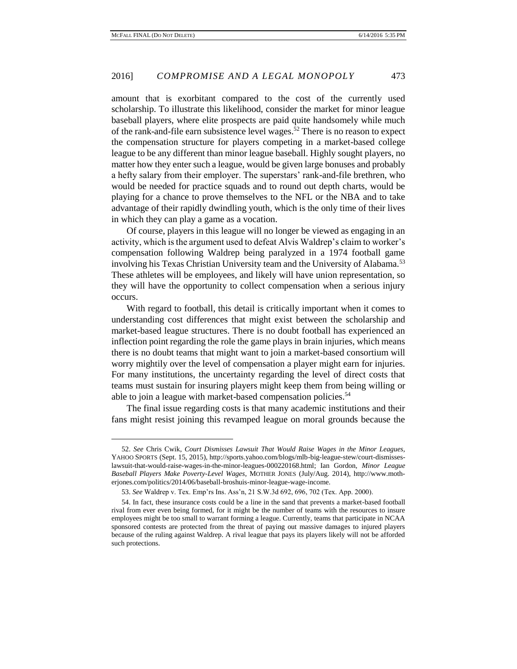amount that is exorbitant compared to the cost of the currently used scholarship. To illustrate this likelihood, consider the market for minor league baseball players, where elite prospects are paid quite handsomely while much of the rank-and-file earn subsistence level wages.<sup>52</sup> There is no reason to expect the compensation structure for players competing in a market-based college league to be any different than minor league baseball. Highly sought players, no matter how they enter such a league, would be given large bonuses and probably a hefty salary from their employer. The superstars' rank-and-file brethren, who would be needed for practice squads and to round out depth charts, would be playing for a chance to prove themselves to the NFL or the NBA and to take advantage of their rapidly dwindling youth, which is the only time of their lives in which they can play a game as a vocation.

Of course, players in this league will no longer be viewed as engaging in an activity, which is the argument used to defeat Alvis Waldrep's claim to worker's compensation following Waldrep being paralyzed in a 1974 football game involving his Texas Christian University team and the University of Alabama.<sup>53</sup> These athletes will be employees, and likely will have union representation, so they will have the opportunity to collect compensation when a serious injury occurs.

With regard to football, this detail is critically important when it comes to understanding cost differences that might exist between the scholarship and market-based league structures. There is no doubt football has experienced an inflection point regarding the role the game plays in brain injuries, which means there is no doubt teams that might want to join a market-based consortium will worry mightily over the level of compensation a player might earn for injuries. For many institutions, the uncertainty regarding the level of direct costs that teams must sustain for insuring players might keep them from being willing or able to join a league with market-based compensation policies.<sup>54</sup>

The final issue regarding costs is that many academic institutions and their fans might resist joining this revamped league on moral grounds because the

<sup>52.</sup> *See* Chris Cwik, *Court Dismisses Lawsuit That Would Raise Wages in the Minor Leagues,*  YAHOO SPORTS (Sept. 15, 2015), http://sports.yahoo.com/blogs/mlb-big-league-stew/court-dismisseslawsuit-that-would-raise-wages-in-the-minor-leagues-000220168.html; Ian Gordon, *Minor League Baseball Players Make Poverty-Level Wages*, MOTHER JONES (July/Aug. 2014), http://www.motherjones.com/politics/2014/06/baseball-broshuis-minor-league-wage-income.

<sup>53.</sup> *See* Waldrep v. Tex. Emp'rs Ins. Ass'n, 21 S.W.3d 692, 696, 702 (Tex. App. 2000).

<sup>54.</sup> In fact, these insurance costs could be a line in the sand that prevents a market-based football rival from ever even being formed, for it might be the number of teams with the resources to insure employees might be too small to warrant forming a league. Currently, teams that participate in NCAA sponsored contests are protected from the threat of paying out massive damages to injured players because of the ruling against Waldrep. A rival league that pays its players likely will not be afforded such protections.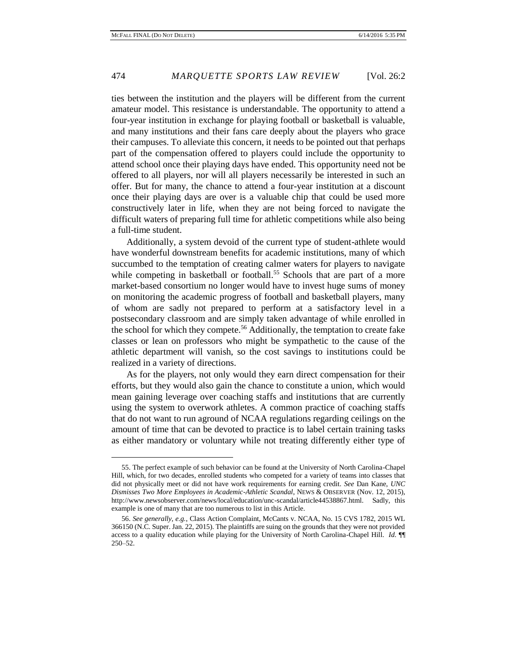ties between the institution and the players will be different from the current amateur model. This resistance is understandable. The opportunity to attend a four-year institution in exchange for playing football or basketball is valuable, and many institutions and their fans care deeply about the players who grace their campuses. To alleviate this concern, it needs to be pointed out that perhaps part of the compensation offered to players could include the opportunity to attend school once their playing days have ended. This opportunity need not be offered to all players, nor will all players necessarily be interested in such an offer. But for many, the chance to attend a four-year institution at a discount once their playing days are over is a valuable chip that could be used more constructively later in life, when they are not being forced to navigate the difficult waters of preparing full time for athletic competitions while also being a full-time student.

Additionally, a system devoid of the current type of student-athlete would have wonderful downstream benefits for academic institutions, many of which succumbed to the temptation of creating calmer waters for players to navigate while competing in basketball or football.<sup>55</sup> Schools that are part of a more market-based consortium no longer would have to invest huge sums of money on monitoring the academic progress of football and basketball players, many of whom are sadly not prepared to perform at a satisfactory level in a postsecondary classroom and are simply taken advantage of while enrolled in the school for which they compete.<sup>56</sup> Additionally, the temptation to create fake classes or lean on professors who might be sympathetic to the cause of the athletic department will vanish, so the cost savings to institutions could be realized in a variety of directions.

As for the players, not only would they earn direct compensation for their efforts, but they would also gain the chance to constitute a union, which would mean gaining leverage over coaching staffs and institutions that are currently using the system to overwork athletes. A common practice of coaching staffs that do not want to run aground of NCAA regulations regarding ceilings on the amount of time that can be devoted to practice is to label certain training tasks as either mandatory or voluntary while not treating differently either type of

<sup>55.</sup> The perfect example of such behavior can be found at the University of North Carolina-Chapel Hill, which, for two decades, enrolled students who competed for a variety of teams into classes that did not physically meet or did not have work requirements for earning credit. *See* Dan Kane, *UNC Dismisses Two More Employees in Academic-Athletic Scandal*, NEWS & OBSERVER (Nov. 12, 2015), http://www.newsobserver.com/news/local/education/unc-scandal/article44538867.html. Sadly, this example is one of many that are too numerous to list in this Article.

<sup>56.</sup> *See generally, e.g.*, Class Action Complaint, McCants v. NCAA, No. 15 CVS 1782, 2015 WL 366150 (N.C. Super. Jan. 22, 2015). The plaintiffs are suing on the grounds that they were not provided access to a quality education while playing for the University of North Carolina-Chapel Hill. *Id.* ¶¶ 250–52.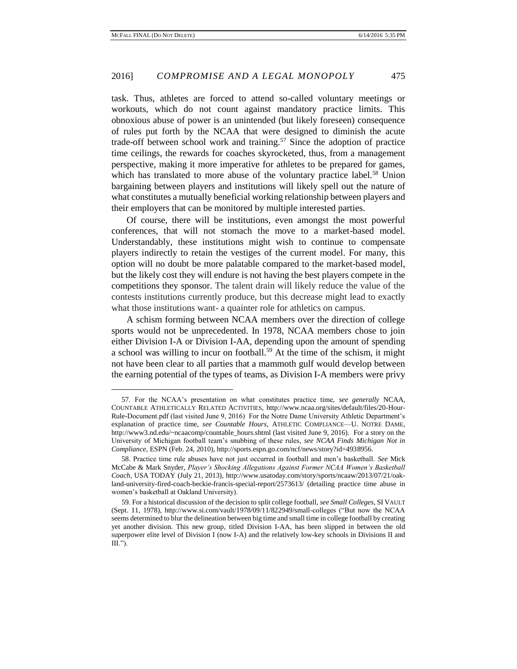task. Thus, athletes are forced to attend so-called voluntary meetings or workouts, which do not count against mandatory practice limits. This obnoxious abuse of power is an unintended (but likely foreseen) consequence of rules put forth by the NCAA that were designed to diminish the acute trade-off between school work and training.<sup>57</sup> Since the adoption of practice time ceilings, the rewards for coaches skyrocketed, thus, from a management perspective, making it more imperative for athletes to be prepared for games, which has translated to more abuse of the voluntary practice label.<sup>58</sup> Union bargaining between players and institutions will likely spell out the nature of what constitutes a mutually beneficial working relationship between players and their employers that can be monitored by multiple interested parties.

Of course, there will be institutions, even amongst the most powerful conferences, that will not stomach the move to a market-based model. Understandably, these institutions might wish to continue to compensate players indirectly to retain the vestiges of the current model. For many, this option will no doubt be more palatable compared to the market-based model, but the likely cost they will endure is not having the best players compete in the competitions they sponsor. The talent drain will likely reduce the value of the contests institutions currently produce, but this decrease might lead to exactly what those institutions want- a quainter role for athletics on campus.

A schism forming between NCAA members over the direction of college sports would not be unprecedented. In 1978, NCAA members chose to join either Division I-A or Division I-AA, depending upon the amount of spending a school was willing to incur on football.<sup>59</sup> At the time of the schism, it might not have been clear to all parties that a mammoth gulf would develop between the earning potential of the types of teams, as Division I-A members were privy

<sup>57.</sup> For the NCAA's presentation on what constitutes practice time, *see generally* NCAA, COUNTABLE ATHLETICALLY RELATED ACTIVITIES, http://www.ncaa.org/sites/default/files/20-Hour-Rule-Document.pdf (last visited June 9, 2016) For the Notre Dame University Athletic Department's explanation of practice time, *see Countable Hours*, ATHLETIC COMPLIANCE—U. NOTRE DAME, http://www3.nd.edu/~ncaacomp/countable\_hours.shtml (last visited June 9, 2016). For a story on the University of Michigan football team's snubbing of these rules, *see NCAA Finds Michigan Not in Compliance*, ESPN (Feb. 24, 2010), http://sports.espn.go.com/ncf/news/story?id=4938956.

<sup>58.</sup> Practice time rule abuses have not just occurred in football and men's basketball. *See* Mick McCabe & Mark Snyder, *Player's Shocking Allegations Against Former NCAA Women's Basketball Coach,* USA TODAY (July 21, 2013), http://www.usatoday.com/story/sports/ncaaw/2013/07/21/oakland-university-fired-coach-beckie-francis-special-report/2573613/ (detailing practice time abuse in women's basketball at Oakland University).

<sup>59.</sup> For a historical discussion of the decision to split college football, *see Small Colleges*, SI VAULT (Sept. 11, 1978), http://www.si.com/vault/1978/09/11/822949/small-colleges ("But now the NCAA seems determined to blur the delineation between big time and small time in college football by creating yet another division. This new group, titled Division I-AA, has been slipped in between the old superpower elite level of Division I (now I-A) and the relatively low-key schools in Divisions II and III.").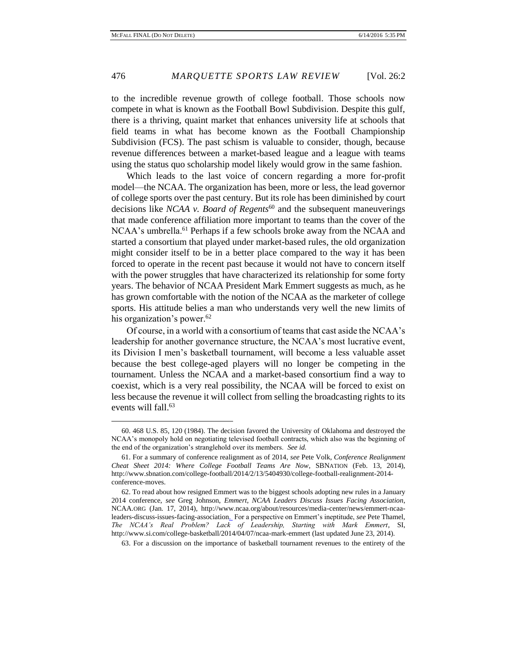to the incredible revenue growth of college football. Those schools now compete in what is known as the Football Bowl Subdivision. Despite this gulf, there is a thriving, quaint market that enhances university life at schools that field teams in what has become known as the Football Championship Subdivision (FCS). The past schism is valuable to consider, though, because revenue differences between a market-based league and a league with teams using the status quo scholarship model likely would grow in the same fashion.

Which leads to the last voice of concern regarding a more for-profit model—the NCAA. The organization has been, more or less, the lead governor of college sports over the past century. But its role has been diminished by court decisions like *NCAA v. Board of Regents*<sup>60</sup> and the subsequent maneuverings that made conference affiliation more important to teams than the cover of the  $NCAA$ 's umbrella.<sup>61</sup> Perhaps if a few schools broke away from the NCAA and started a consortium that played under market-based rules, the old organization might consider itself to be in a better place compared to the way it has been forced to operate in the recent past because it would not have to concern itself with the power struggles that have characterized its relationship for some forty years. The behavior of NCAA President Mark Emmert suggests as much, as he has grown comfortable with the notion of the NCAA as the marketer of college sports. His attitude belies a man who understands very well the new limits of his organization's power.<sup>62</sup>

Of course, in a world with a consortium of teams that cast aside the NCAA's leadership for another governance structure, the NCAA's most lucrative event, its Division I men's basketball tournament, will become a less valuable asset because the best college-aged players will no longer be competing in the tournament. Unless the NCAA and a market-based consortium find a way to coexist, which is a very real possibility, the NCAA will be forced to exist on less because the revenue it will collect from selling the broadcasting rights to its events will fall.<sup>63</sup>

63. For a discussion on the importance of basketball tournament revenues to the entirety of the

<sup>60. 468</sup> U.S. 85, 120 (1984). The decision favored the University of Oklahoma and destroyed the NCAA's monopoly hold on negotiating televised football contracts, which also was the beginning of the end of the organization's stranglehold over its members. *See id.*

<sup>61.</sup> For a summary of conference realignment as of 2014, *see* Pete Volk, *Conference Realignment Cheat Sheet 2014: Where College Football Teams Are Now*, SBNATION (Feb. 13, 2014), http://www.sbnation.com/college-football/2014/2/13/5404930/college-football-realignment-2014 conference-moves.

<sup>62.</sup> To read about how resigned Emmert was to the biggest schools adopting new rules in a January 2014 conference, *see* Greg Johnson, *Emmert, NCAA Leaders Discuss Issues Facing Association*, NCAA.ORG (Jan. 17, 2014), http://www.ncaa.org/about/resources/media-center/news/emmert-ncaaleaders-discuss-issues-facing-association. For a perspective on Emmert's ineptitude, *see* Pete Thamel, *The NCAA's Real Problem? Lack of Leadership, Starting with Mark Emmert*, SI, http://www.si.com/college-basketball/2014/04/07/ncaa-mark-emmert (last updated June 23, 2014).